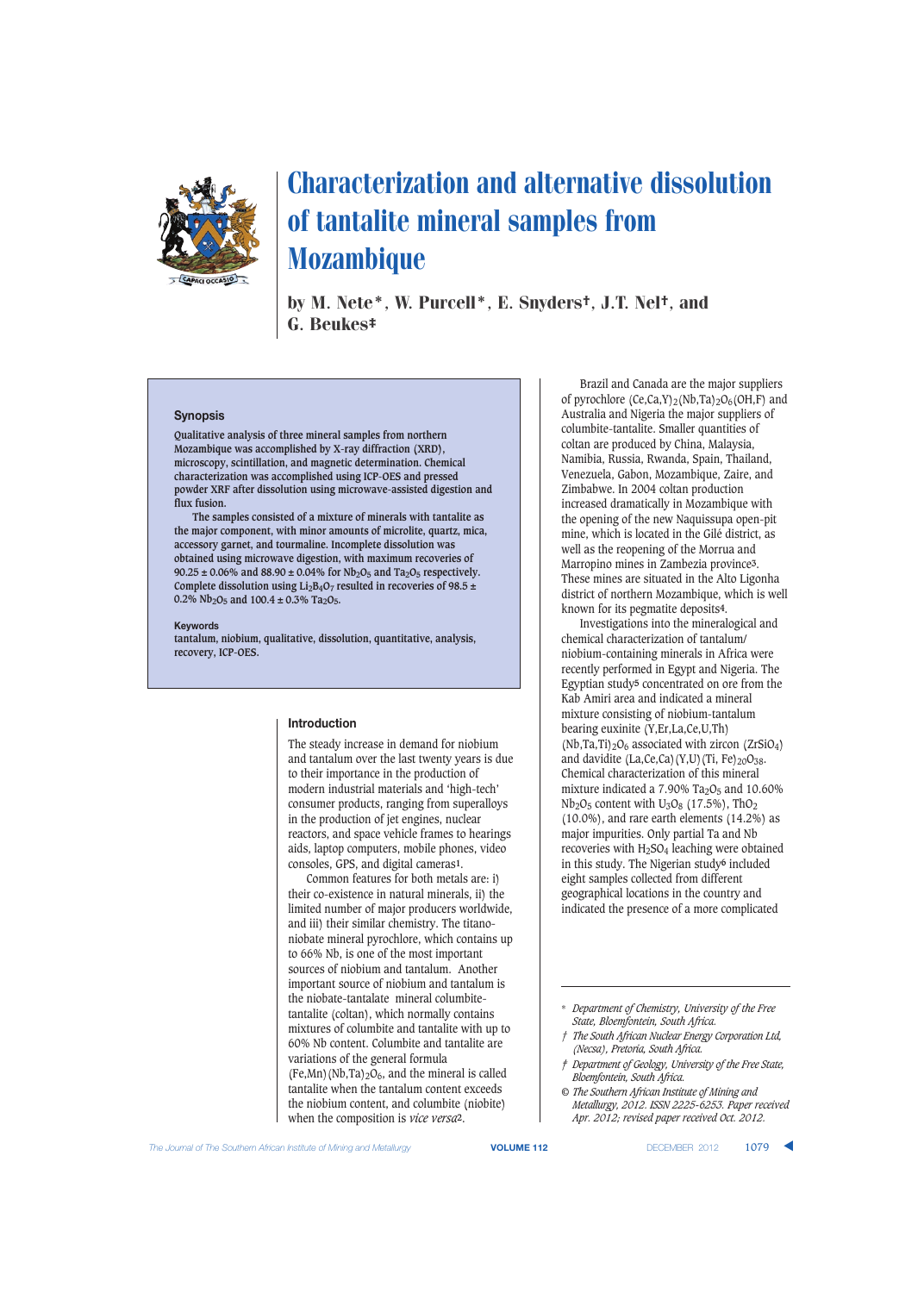

by M. Nete\*, W. Purcell\*, E. Snyders†, J.T. Nel†, and G. Beukes‡

#### **Synopsis**

**Qualitative analysis of three mineral samples from northern Mozambique was accomplished by X-ray diffraction (XRD), microscopy, scintillation, and magnetic determination. Chemical characterization was accomplished using ICP-OES and pressed powder XRF after dissolution using microwave-assisted digestion and flux fusion.** 

**The samples consisted of a mixture of minerals with tantalite as the major component, with minor amounts of microlite, quartz, mica, accessory garnet, and tourmaline. Incomplete dissolution was obtained using microwave digestion, with maximum recoveries of**  $90.25 \pm 0.06\%$  and  $88.90 \pm 0.04\%$  for Nb<sub>2</sub>O<sub>5</sub> and Ta<sub>2</sub>O<sub>5</sub> respectively. Complete dissolution using  $Li_2B_4O_7$  resulted in recoveries of 98.5  $\pm$  $0.2\%$  Nb<sub>2</sub>O<sub>5</sub> and 100.4 ± 0.3% Ta<sub>2</sub>O<sub>5</sub>.

#### **Keywords**

**tantalum, niobium, qualitative, dissolution, quantitative, analysis, recovery, ICP-OES.**

## **Introduction**

The steady increase in demand for niobium and tantalum over the last twenty years is due to their importance in the production of modern industrial materials and 'high-tech' consumer products, ranging from superalloys in the production of jet engines, nuclear reactors, and space vehicle frames to hearings aids, laptop computers, mobile phones, video consoles, GPS, and digital cameras**1**.

Common features for both metals are: i) their co-existence in natural minerals, ii) the limited number of major producers worldwide, and iii) their similar chemistry. The titanoniobate mineral pyrochlore, which contains up to 66% Nb, is one of the most important sources of niobium and tantalum. Another important source of niobium and tantalum is the niobate-tantalate mineral columbitetantalite (coltan), which normally contains mixtures of columbite and tantalite with up to 60% Nb content. Columbite and tantalite are variations of the general formula  $(Fe, Mn)(Nb, Ta)<sub>2</sub>O<sub>6</sub>$ , and the mineral is called tantalite when the tantalum content exceeds the niobium content, and columbite (niobite) when the composition is *vice versa***2**.

Brazil and Canada are the major suppliers of pyrochlore  $(Ce,Ca,Y)_2(Nb,Ta)_2O_6(OH,F)$  and Australia and Nigeria the major suppliers of columbite-tantalite. Smaller quantities of coltan are produced by China, Malaysia, Namibia, Russia, Rwanda, Spain, Thailand, Venezuela, Gabon, Mozambique, Zaire, and Zimbabwe. In 2004 coltan production increased dramatically in Mozambique with the opening of the new Naquissupa open-pit mine, which is located in the Gilé district, as well as the reopening of the Morrua and Marropino mines in Zambezia province**3**. These mines are situated in the Alto Ligonha district of northern Mozambique, which is well known for its pegmatite deposits**4**.

Investigations into the mineralogical and chemical characterization of tantalum/ niobium-containing minerals in Africa were recently performed in Egypt and Nigeria. The Egyptian study**5** concentrated on ore from the Kab Amiri area and indicated a mineral mixture consisting of niobium-tantalum bearing euxinite (Y,Er,La,Ce,U,Th)  $(Nb, Ta, Ti)_{2}O_{6}$  associated with zircon (ZrSiO<sub>4</sub>) and davidite  $(La, Ce, Ca) (Y, U) (Ti, Fe)_{20}O_{38}$ . Chemical characterization of this mineral mixture indicated a  $7.90\%$  Ta<sub>2</sub>O<sub>5</sub> and 10.60%  $Nb<sub>2</sub>O<sub>5</sub>$  content with  $U<sub>3</sub>O<sub>8</sub>$  (17.5%), ThO<sub>2</sub>  $(10.0\%)$ , and rare earth elements  $(14.2\%)$  as major impurities. Only partial Ta and Nb recoveries with H2SO4 leaching were obtained in this study. The Nigerian study**6** included eight samples collected from different geographical locations in the country and indicated the presence of a more complicated

- *† The South African Nuclear Energy Corporation Ltd, (Necsa), Pretoria, South Africa.*
- *‡ Department of Geology, University of the Free State, Bloemfontein, South Africa.*
- *© The Southern African Institute of Mining and Metallurgy, 2012. ISSN 2225-6253. Paper received Apr. 2012; revised paper received Oct. 2012.*

The Journal of The Southern African Institute of Mining and Metallurgy **VOLUME 112 VOLUME 112 DECEMBER 2012** 1079 **4** 

<sup>\*</sup> *Department of Chemistry, University of the Free State, Bloemfontein, South Africa.*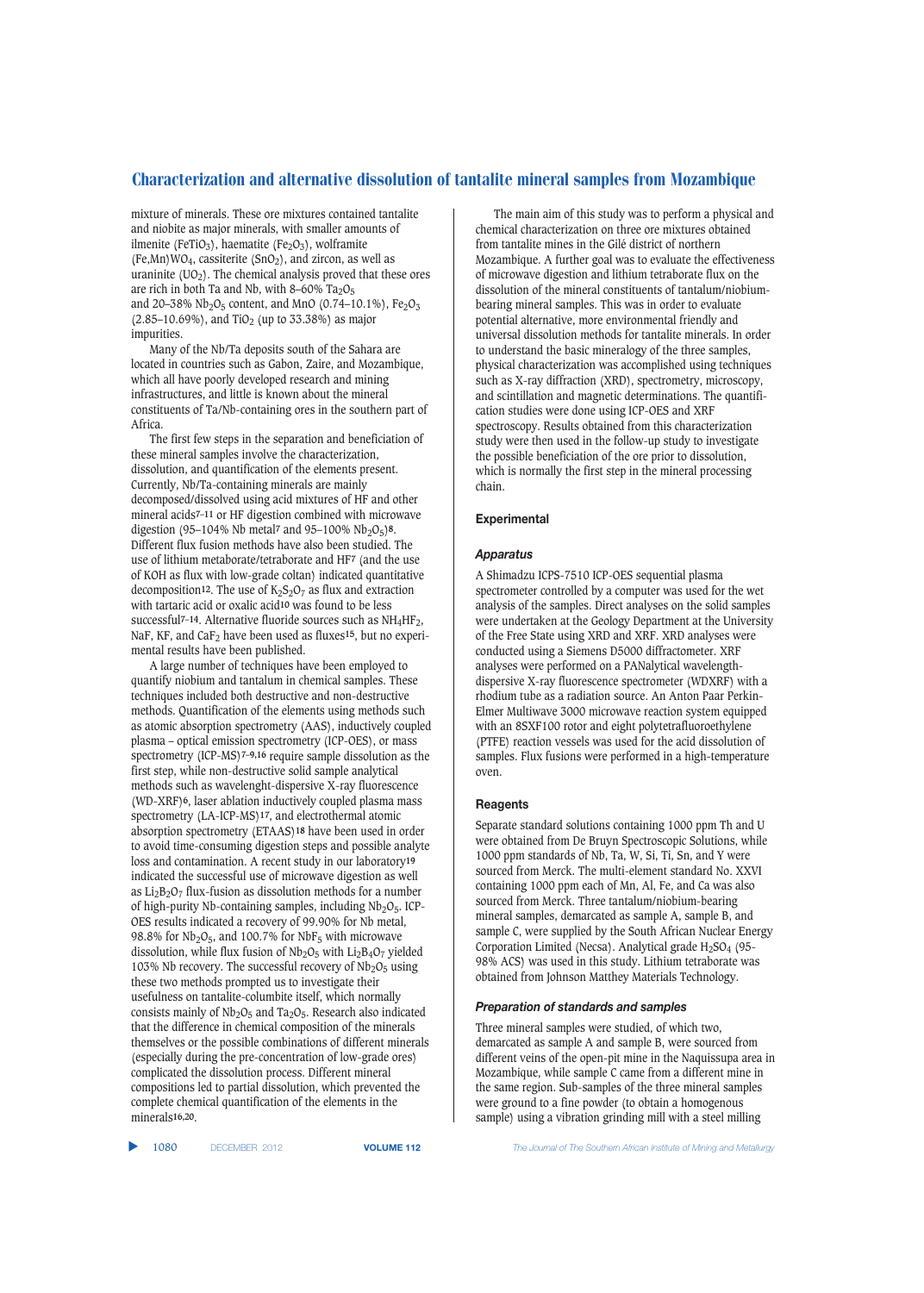mixture of minerals. These ore mixtures contained tantalite and niobite as major minerals, with smaller amounts of ilmenite (FeTiO<sub>3</sub>), haematite (Fe<sub>2</sub>O<sub>3</sub>), wolframite  $(Fe, Mn)WO<sub>4</sub>$ , cassiterite  $(SnO<sub>2</sub>)$ , and zircon, as well as uraninite  $(UO<sub>2</sub>)$ . The chemical analysis proved that these ores are rich in both Ta and Nb, with  $8-60\%$  Ta<sub>2</sub>O<sub>5</sub> and 20–38%  $Nb_2O_5$  content, and MnO (0.74–10.1%), Fe<sub>2</sub>O<sub>3</sub>  $(2.85-10.69\%)$ , and TiO<sub>2</sub> (up to 33.38%) as major impurities.

Many of the Nb/Ta deposits south of the Sahara are located in countries such as Gabon, Zaire, and Mozambique, which all have poorly developed research and mining infrastructures, and little is known about the mineral constituents of Ta/Nb-containing ores in the southern part of Africa.

The first few steps in the separation and beneficiation of these mineral samples involve the characterization, dissolution, and quantification of the elements present. Currently, Nb/Ta-containing minerals are mainly decomposed/dissolved using acid mixtures of HF and other mineral acids**7–11** or HF digestion combined with microwave digestion (95–104% Nb metal<sup>7</sup> and 95–100%  $Nb_2O_5$ )<sup>8</sup>. Different flux fusion methods have also been studied. The use of lithium metaborate/tetraborate and HF**7** (and the use of KOH as flux with low-grade coltan) indicated quantitative decomposition<sup>12</sup>. The use of  $K_2S_2O_7$  as flux and extraction with tartaric acid or oxalic acid**10** was found to be less successful<sup>7-14</sup>. Alternative fluoride sources such as NH<sub>4</sub>HF<sub>2</sub>, NaF, KF, and CaF<sub>2</sub> have been used as fluxes<sup>15</sup>, but no experimental results have been published.

A large number of techniques have been employed to quantify niobium and tantalum in chemical samples. These techniques included both destructive and non-destructive methods. Quantification of the elements using methods such as atomic absorption spectrometry (AAS), inductively coupled plasma – optical emission spectrometry (ICP-OES), or mass spectrometry (ICP-MS)**7–9,16** require sample dissolution as the first step, while non-destructive solid sample analytical methods such as wavelenght-dispersive X-ray fluorescence (WD-XRF)**6**, laser ablation inductively coupled plasma mass spectrometry (LA-ICP-MS)**17**, and electrothermal atomic absorption spectrometry (ETAAS)**18** have been used in order to avoid time-consuming digestion steps and possible analyte loss and contamination. A recent study in our laboratory**19** indicated the successful use of microwave digestion as well as  $Li_2B_2O_7$  flux-fusion as dissolution methods for a number of high-purity Nb-containing samples, including  $Nb<sub>2</sub>O<sub>5</sub>$ . ICP-OES results indicated a recovery of 99.90% for Nb metal, 98.8% for  $Nb<sub>2</sub>O<sub>5</sub>$ , and 100.7% for  $NbF<sub>5</sub>$  with microwave dissolution, while flux fusion of  $Nb<sub>2</sub>O<sub>5</sub>$  with  $Li<sub>2</sub>B<sub>4</sub>O<sub>7</sub>$  yielded 103% Nb recovery. The successful recovery of  $Nb<sub>2</sub>O<sub>5</sub>$  using these two methods prompted us to investigate their usefulness on tantalite-columbite itself, which normally consists mainly of  $Nb<sub>2</sub>O<sub>5</sub>$  and Ta<sub>2</sub>O<sub>5</sub>. Research also indicated that the difference in chemical composition of the minerals themselves or the possible combinations of different minerals (especially during the pre-concentration of low-grade ores) complicated the dissolution process. Different mineral compositions led to partial dissolution, which prevented the complete chemical quantification of the elements in the minerals**16,20**.

The main aim of this study was to perform a physical and chemical characterization on three ore mixtures obtained from tantalite mines in the Gilé district of northern Mozambique. A further goal was to evaluate the effectiveness of microwave digestion and lithium tetraborate flux on the dissolution of the mineral constituents of tantalum/niobiumbearing mineral samples. This was in order to evaluate potential alternative, more environmental friendly and universal dissolution methods for tantalite minerals. In order to understand the basic mineralogy of the three samples, physical characterization was accomplished using techniques such as X-ray diffraction (XRD), spectrometry, microscopy, and scintillation and magnetic determinations. The quantification studies were done using ICP-OES and XRF spectroscopy. Results obtained from this characterization study were then used in the follow-up study to investigate the possible beneficiation of the ore prior to dissolution, which is normally the first step in the mineral processing chain.

## **Experimental**

## *Apparatus*

A Shimadzu ICPS-7510 ICP-OES sequential plasma spectrometer controlled by a computer was used for the wet analysis of the samples. Direct analyses on the solid samples were undertaken at the Geology Department at the University of the Free State using XRD and XRF. XRD analyses were conducted using a Siemens D5000 diffractometer. XRF analyses were performed on a PANalytical wavelengthdispersive X-ray fluorescence spectrometer (WDXRF) with a rhodium tube as a radiation source. An Anton Paar Perkin-Elmer Multiwave 3000 microwave reaction system equipped with an 8SXF100 rotor and eight polytetrafluoroethylene (PTFE) reaction vessels was used for the acid dissolution of samples. Flux fusions were performed in a high-temperature oven.

## **Reagents**

Separate standard solutions containing 1000 ppm Th and U were obtained from De Bruyn Spectroscopic Solutions, while 1000 ppm standards of Nb, Ta, W, Si, Ti, Sn, and Y were sourced from Merck. The multi-element standard No. XXVI containing 1000 ppm each of Mn, Al, Fe, and Ca was also sourced from Merck. Three tantalum/niobium-bearing mineral samples, demarcated as sample A, sample B, and sample C, were supplied by the South African Nuclear Energy Corporation Limited (Necsa). Analytical grade  $H_2SO_4$  (95-98% ACS) was used in this study. Lithium tetraborate was obtained from Johnson Matthey Materials Technology.

#### *Preparation of standards and samples*

Three mineral samples were studied, of which two, demarcated as sample A and sample B, were sourced from different veins of the open-pit mine in the Naquissupa area in Mozambique, while sample C came from a different mine in the same region. Sub-samples of the three mineral samples were ground to a fine powder (to obtain a homogenous sample) using a vibration grinding mill with a steel milling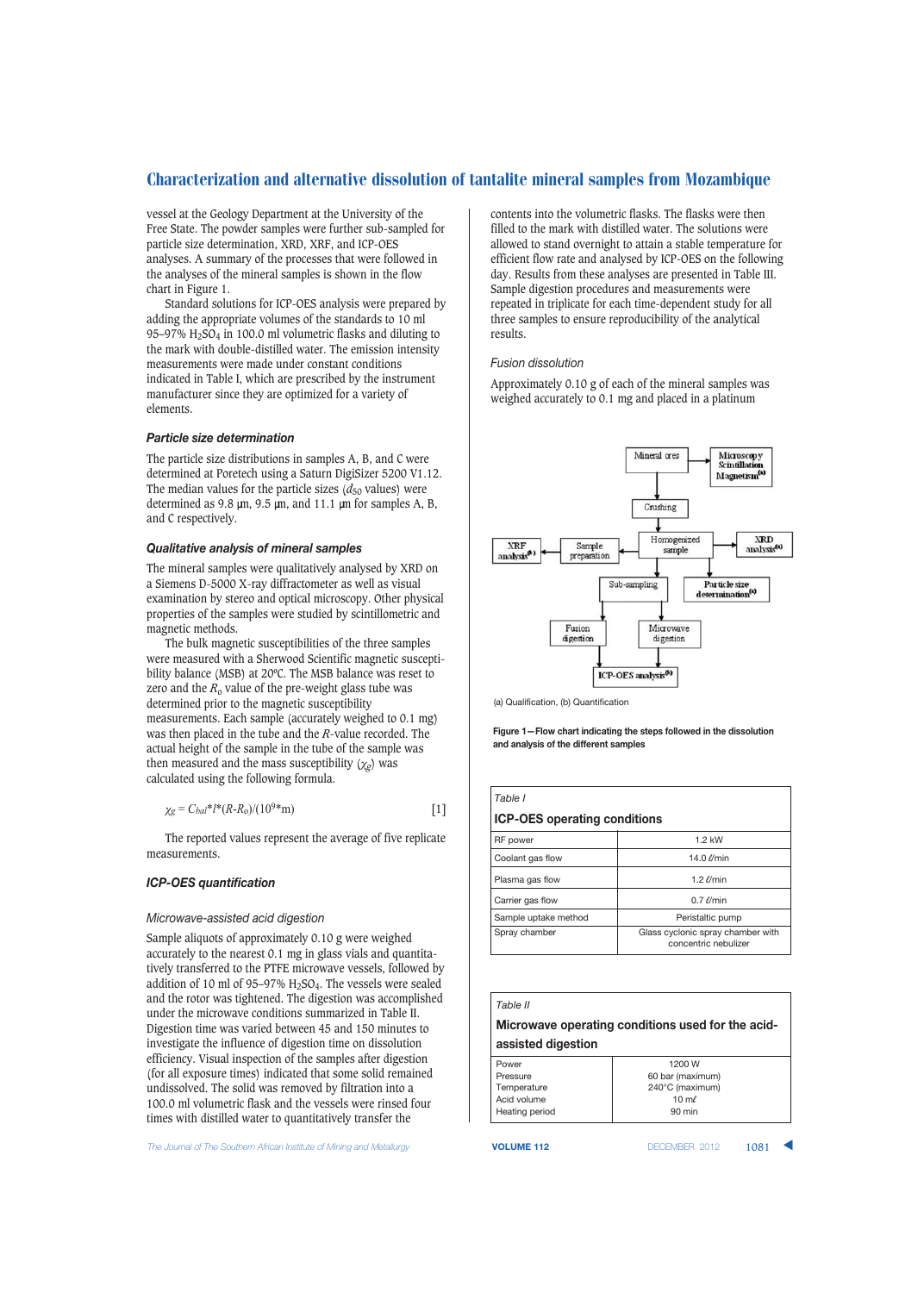vessel at the Geology Department at the University of the Free State. The powder samples were further sub-sampled for particle size determination, XRD, XRF, and ICP-OES analyses. A summary of the processes that were followed in the analyses of the mineral samples is shown in the flow chart in Figure 1.

Standard solutions for ICP-OES analysis were prepared by adding the appropriate volumes of the standards to 10 ml 95–97% H2SO4 in 100.0 ml volumetric flasks and diluting to the mark with double-distilled water. The emission intensity measurements were made under constant conditions indicated in Table I, which are prescribed by the instrument manufacturer since they are optimized for a variety of elements.

#### *Particle size determination*

The particle size distributions in samples A, B, and C were determined at Poretech using a Saturn DigiSizer 5200 V1.12. The median values for the particle sizes  $(d_{50}$  values) were determined as  $9.8 \mu m$ ,  $9.5 \mu m$ , and  $11.1 \mu m$  for samples A, B, and C respectively.

## *Qualitative analysis of mineral samples*

The mineral samples were qualitatively analysed by XRD on a Siemens D-5000 X-ray diffractometer as well as visual examination by stereo and optical microscopy. Other physical properties of the samples were studied by scintillometric and magnetic methods.

The bulk magnetic susceptibilities of the three samples were measured with a Sherwood Scientific magnetic susceptibility balance (MSB) at 20ºC. The MSB balance was reset to zero and the  $R_0$  value of the pre-weight glass tube was determined prior to the magnetic susceptibility measurements. Each sample (accurately weighed to 0.1 mg) was then placed in the tube and the *R*-value recorded. The actual height of the sample in the tube of the sample was then measured and the mass susceptibility  $(\chi_g)$  was calculated using the following formula.

$$
\chi_g = C_{bal} * l^* (R - R_0) / (10^{9*} \text{m})
$$
 [1]

The reported values represent the average of five replicate measurements.

## *ICP-OES quantification*

## *Microwave-assisted acid digestion*

Sample aliquots of approximately 0.10 g were weighed accurately to the nearest 0.1 mg in glass vials and quantitatively transferred to the PTFE microwave vessels, followed by addition of 10 ml of 95–97% H2SO4. The vessels were sealed and the rotor was tightened. The digestion was accomplished under the microwave conditions summarized in Table II. Digestion time was varied between 45 and 150 minutes to investigate the influence of digestion time on dissolution efficiency. Visual inspection of the samples after digestion (for all exposure times) indicated that some solid remained undissolved. The solid was removed by filtration into a 100.0 ml volumetric flask and the vessels were rinsed four times with distilled water to quantitatively transfer the

**The Journal of The Southern African Institute of Mining and Metallurgy <b>VOLUME 112 VOLUME 112 DECEMBER 2012 1081** 

contents into the volumetric flasks. The flasks were then filled to the mark with distilled water. The solutions were allowed to stand overnight to attain a stable temperature for efficient flow rate and analysed by ICP-OES on the following day. Results from these analyses are presented in Table III. Sample digestion procedures and measurements were repeated in triplicate for each time-dependent study for all three samples to ensure reproducibility of the analytical results.

## *Fusion dissolution*

Approximately 0.10 g of each of the mineral samples was weighed accurately to 0.1 mg and placed in a platinum



(a) Qualification, (b) Quantification

**Figure 1—Flow chart indicating the steps followed in the dissolution and analysis of the different samples**

| Table I                             |                                                           |  |  |
|-------------------------------------|-----------------------------------------------------------|--|--|
| <b>ICP-OES operating conditions</b> |                                                           |  |  |
| RF power                            | $1.2$ kW                                                  |  |  |
| Coolant gas flow                    | 14.0 l/min                                                |  |  |
| Plasma gas flow                     | $1.2$ $\ell$ /min                                         |  |  |
| Carrier gas flow                    | $0.7 \ell$ /min                                           |  |  |
| Sample uptake method                | Peristaltic pump                                          |  |  |
| Spray chamber                       | Glass cyclonic spray chamber with<br>concentric nebulizer |  |  |

## *Table II*

## **Microwave operating conditions used for the acidassisted digestion**

| Power          | 1200 W           |
|----------------|------------------|
| Pressure       | 60 bar (maximum) |
| Temperature    | 240°C (maximum)  |
| Acid volume    | $10 \text{ m}$   |
| Heating period | 90 min           |
|                |                  |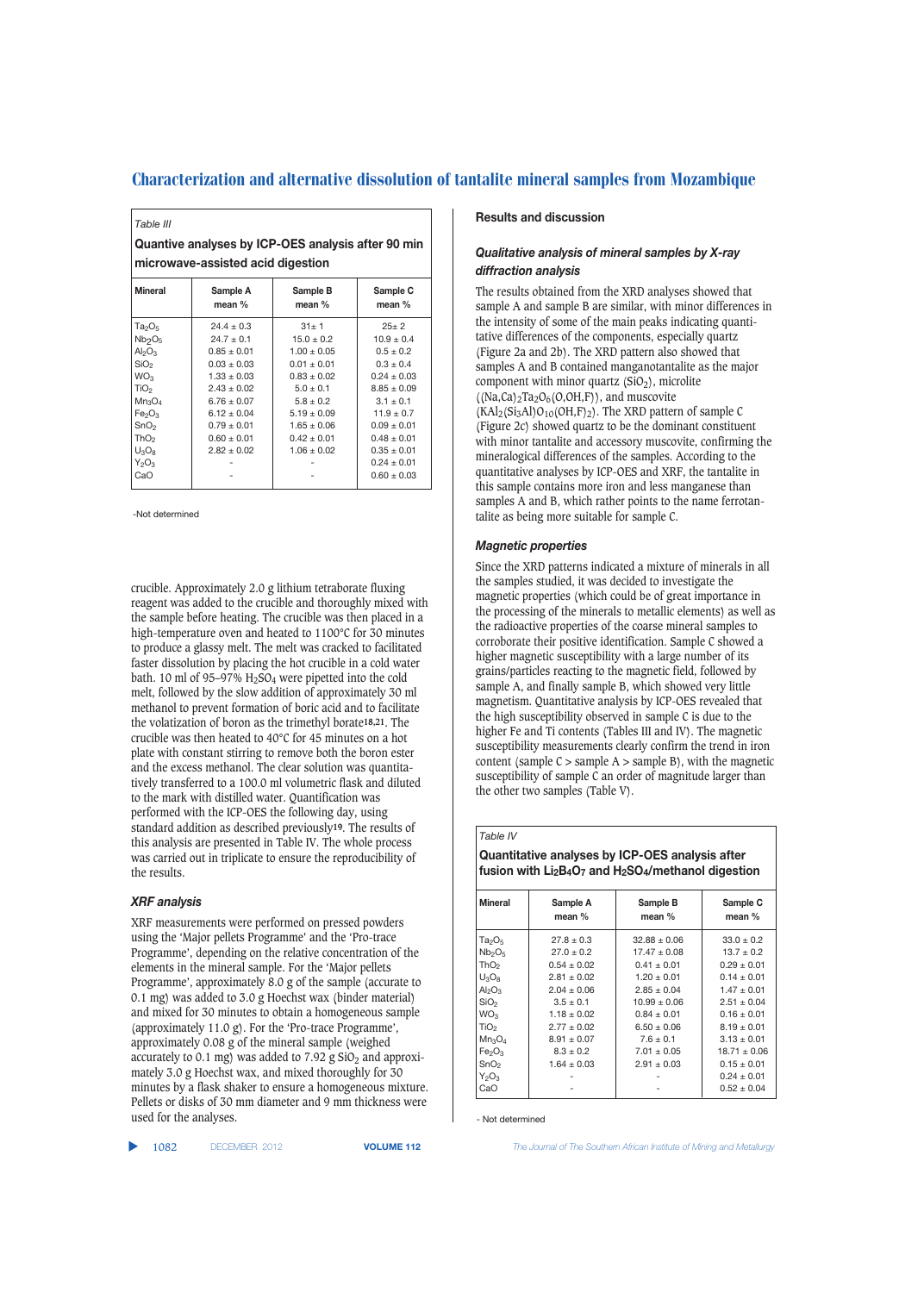*Table III* 

**Quantive analyses by ICP-OES analysis after 90 min microwave-assisted acid digestion** 

| <b>Mineral</b>                 | Sample A<br>mean % | Sample B<br>mean $%$ | Sample C<br>mean $%$ |  |
|--------------------------------|--------------------|----------------------|----------------------|--|
| Ta <sub>2</sub> O <sub>5</sub> | $24.4 \pm 0.3$     | $31 + 1$             | $25+2$               |  |
| Nb <sub>2</sub> O <sub>5</sub> | $24.7 \pm 0.1$     | $15.0 \pm 0.2$       | $10.9 \pm 0.4$       |  |
| Al <sub>2</sub> O <sub>3</sub> | $0.85 \pm 0.01$    | $1.00 \pm 0.05$      | $0.5 \pm 0.2$        |  |
| SiO <sub>2</sub>               | $0.03 + 0.03$      | $0.01 \pm 0.01$      | $0.3 \pm 0.4$        |  |
| WO <sub>3</sub>                | $1.33 \pm 0.03$    | $0.83 \pm 0.02$      | $0.24 \pm 0.03$      |  |
| TiO <sub>2</sub>               | $2.43 \pm 0.02$    | $5.0 \pm 0.1$        | $8.85 \pm 0.09$      |  |
| $Mn_3O_4$                      | $6.76 \pm 0.07$    | $5.8 \pm 0.2$        | $3.1 \pm 0.1$        |  |
| Fe <sub>2</sub> O <sub>3</sub> | $6.12 \pm 0.04$    | $5.19 \pm 0.09$      | $11.9 \pm 0.7$       |  |
| SnO <sub>2</sub>               | $0.79 \pm 0.01$    | $1.65 \pm 0.06$      | $0.09 + 0.01$        |  |
| ThO <sub>2</sub>               | $0.60 \pm 0.01$    | $0.42 \pm 0.01$      | $0.48 \pm 0.01$      |  |
| $U_3O_8$                       | $2.82 \pm 0.02$    | $1.06 \pm 0.02$      | $0.35 \pm 0.01$      |  |
| $Y_2O_3$                       |                    |                      | $0.24 \pm 0.01$      |  |
| CaO                            |                    |                      | $0.60 + 0.03$        |  |
|                                |                    |                      |                      |  |

-Not determined

crucible. Approximately 2.0 g lithium tetraborate fluxing reagent was added to the crucible and thoroughly mixed with the sample before heating. The crucible was then placed in a high-temperature oven and heated to 1100°C for 30 minutes to produce a glassy melt. The melt was cracked to facilitated faster dissolution by placing the hot crucible in a cold water bath. 10 ml of 95–97%  $H_2SO_4$  were pipetted into the cold melt, followed by the slow addition of approximately 30 ml methanol to prevent formation of boric acid and to facilitate the volatization of boron as the trimethyl borate**18,21**. The crucible was then heated to 40°C for 45 minutes on a hot plate with constant stirring to remove both the boron ester and the excess methanol. The clear solution was quantitatively transferred to a 100.0 ml volumetric flask and diluted to the mark with distilled water. Quantification was performed with the ICP-OES the following day, using standard addition as described previously**19**. The results of this analysis are presented in Table IV. The whole process was carried out in triplicate to ensure the reproducibility of the results.

#### *XRF analysis*

XRF measurements were performed on pressed powders using the 'Major pellets Programme' and the 'Pro-trace Programme', depending on the relative concentration of the elements in the mineral sample. For the 'Major pellets Programme', approximately 8.0 g of the sample (accurate to 0.1 mg) was added to 3.0 g Hoechst wax (binder material) and mixed for 30 minutes to obtain a homogeneous sample (approximately 11.0 g). For the 'Pro-trace Programme', approximately 0.08 g of the mineral sample (weighed accurately to 0.1 mg) was added to 7.92 g  $SiO<sub>2</sub>$  and approximately 3.0 g Hoechst wax, and mixed thoroughly for 30 minutes by a flask shaker to ensure a homogeneous mixture. Pellets or disks of 30 mm diameter and 9 mm thickness were used for the analyses.

# **Results and discussion**

## *Qualitative analysis of mineral samples by X-ray diffraction analysis*

The results obtained from the XRD analyses showed that sample A and sample B are similar, with minor differences in the intensity of some of the main peaks indicating quantitative differences of the components, especially quartz (Figure 2a and 2b). The XRD pattern also showed that samples A and B contained manganotantalite as the major component with minor quartz (SiO<sub>2</sub>), microlite  $((Na, Ca)<sub>2</sub>Ta<sub>2</sub>O<sub>6</sub>(O, OH,F)),$  and muscovite  $(KAl<sub>2</sub>(Si<sub>3</sub>Al)O<sub>10</sub>(OH,F)<sub>2</sub>)$ . The XRD pattern of sample C (Figure 2c) showed quartz to be the dominant constituent with minor tantalite and accessory muscovite, confirming the mineralogical differences of the samples. According to the quantitative analyses by ICP-OES and XRF, the tantalite in this sample contains more iron and less manganese than samples A and B, which rather points to the name ferrotantalite as being more suitable for sample C.

## *Magnetic properties*

Since the XRD patterns indicated a mixture of minerals in all the samples studied, it was decided to investigate the magnetic properties (which could be of great importance in the processing of the minerals to metallic elements) as well as the radioactive properties of the coarse mineral samples to corroborate their positive identification. Sample C showed a higher magnetic susceptibility with a large number of its grains/particles reacting to the magnetic field, followed by sample A, and finally sample B, which showed very little magnetism. Quantitative analysis by ICP-OES revealed that the high susceptibility observed in sample C is due to the higher Fe and Ti contents (Tables III and IV). The magnetic susceptibility measurements clearly confirm the trend in iron content (sample  $C >$  sample  $A >$  sample  $B$ ), with the magnetic susceptibility of sample C an order of magnitude larger than the other two samples (Table V).

## *Table IV*

## **Quantitative analyses by ICP-OES analysis after fusion with Li2B4O7 and H2SO4/methanol digestion**

| <b>Mineral</b>                 | Sample A<br>mean % | Sample B<br>mean $%$ | Sample C<br>mean % |
|--------------------------------|--------------------|----------------------|--------------------|
| Ta <sub>2</sub> O <sub>5</sub> | $27.8 \pm 0.3$     | $32.88 \pm 0.06$     | $33.0 \pm 0.2$     |
| Nb <sub>2</sub> O <sub>5</sub> | $27.0 \pm 0.2$     | $17.47 \pm 0.08$     | $13.7 \pm 0.2$     |
| ThO <sub>2</sub>               | $0.54 \pm 0.02$    | $0.41 \pm 0.01$      | $0.29 \pm 0.01$    |
| $U_3O_8$                       | $2.81 + 0.02$      | $1.20 \pm 0.01$      | $0.14 \pm 0.01$    |
| $Al_2O_3$                      | $2.04 + 0.06$      | $2.85 \pm 0.04$      | $1.47 \pm 0.01$    |
| SiO <sub>2</sub>               | $3.5 \pm 0.1$      | $10.99 \pm 0.06$     | $2.51 \pm 0.04$    |
| WO <sub>3</sub>                | $1.18 \pm 0.02$    | $0.84 \pm 0.01$      | $0.16 \pm 0.01$    |
| TiO <sub>2</sub>               | $2.77 \pm 0.02$    | $6.50 + 0.06$        | $8.19 \pm 0.01$    |
| $Mn_3O4$                       | $8.91 \pm 0.07$    | $7.6 \pm 0.1$        | $3.13 \pm 0.01$    |
| Fe <sub>2</sub> O <sub>3</sub> | $8.3 \pm 0.2$      | $7.01 + 0.05$        | $18.71 \pm 0.06$   |
| SnO <sub>2</sub>               | $1.64 \pm 0.03$    | $2.91 \pm 0.03$      | $0.15 \pm 0.01$    |
| $Y_2O_3$                       |                    |                      | $0.24 \pm 0.01$    |
| CaO                            |                    |                      | $0.52 \pm 0.04$    |
|                                |                    |                      |                    |

- Not determined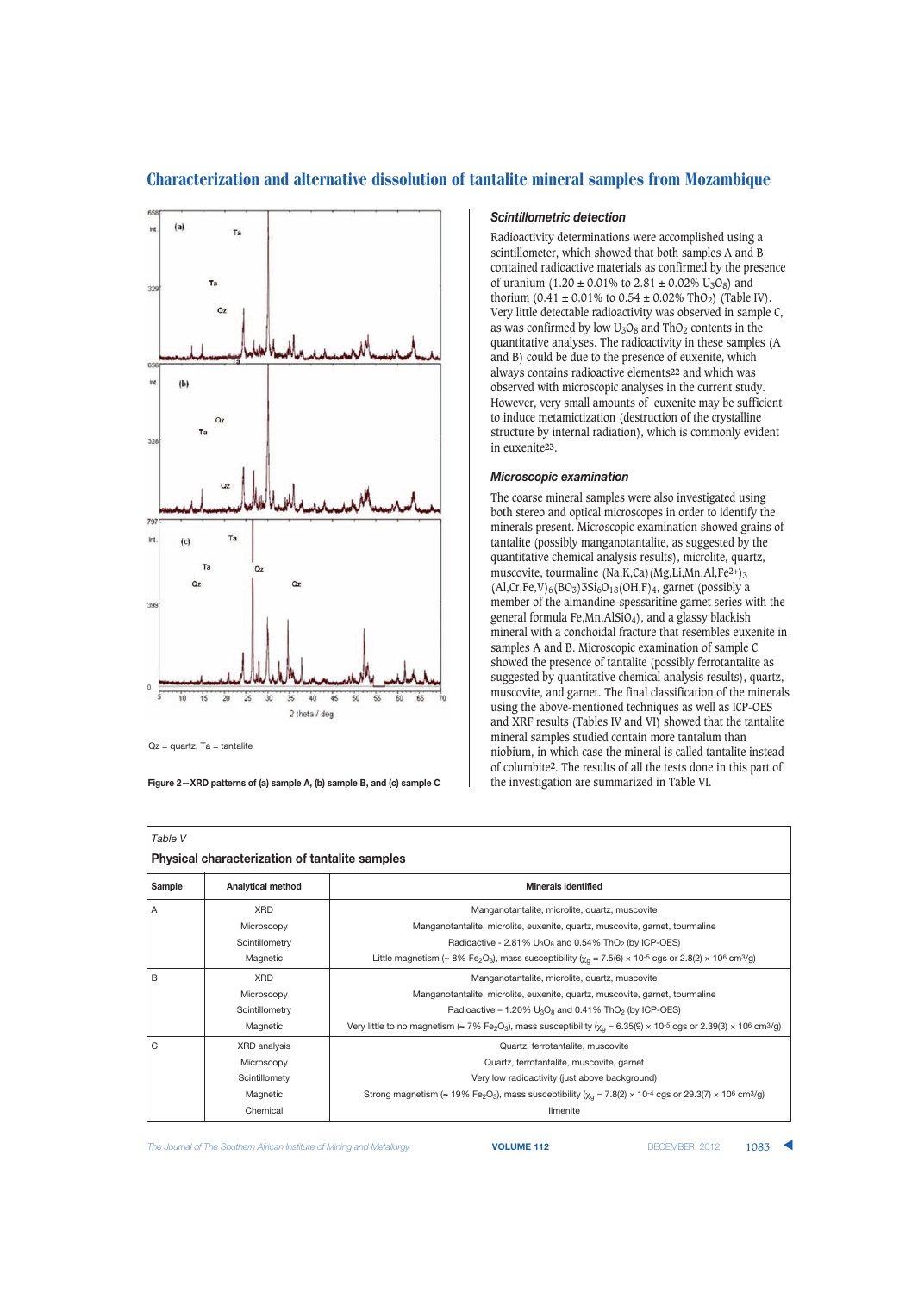

 $Qz =$  quartz,  $Ta =$  tantalite

**Figure 2—XRD patterns of (a) sample A, (b) sample B, and (c) sample C**

## *Scintillometric detection*

Radioactivity determinations were accomplished using a scintillometer, which showed that both samples A and B contained radioactive materials as confirmed by the presence of uranium (1.20  $\pm$  0.01% to 2.81  $\pm$  0.02% U<sub>3</sub>O<sub>8</sub>) and thorium (0.41  $\pm$  0.01% to 0.54  $\pm$  0.02% ThO<sub>2</sub>) (Table IV). Very little detectable radioactivity was observed in sample C, as was confirmed by low  $U_3O_8$  and Th $O_2$  contents in the quantitative analyses. The radioactivity in these samples (A and B) could be due to the presence of euxenite, which always contains radioactive elements**22** and which was observed with microscopic analyses in the current study. However, very small amounts of euxenite may be sufficient to induce metamictization (destruction of the crystalline structure by internal radiation), which is commonly evident in euxenite**23**.

## *Microscopic examination*

The coarse mineral samples were also investigated using both stereo and optical microscopes in order to identify the minerals present. Microscopic examination showed grains of tantalite (possibly manganotantalite, as suggested by the quantitative chemical analysis results), microlite, quartz, muscovite, tourmaline  $(Na,K,Ca) (Mg,Li,Mn,Al,Fe<sup>2+</sup>)<sub>3</sub>$  $(AI, Cr, Fe, V)_{6}(BO<sub>3</sub>)$ 3Si<sub>6</sub>O<sub>18</sub>(OH,F)<sub>4</sub>, garnet (possibly a member of the almandine-spessaritine garnet series with the general formula Fe, Mn, Al $SiO<sub>4</sub>$ ), and a glassy blackish mineral with a conchoidal fracture that resembles euxenite in samples A and B. Microscopic examination of sample C showed the presence of tantalite (possibly ferrotantalite as suggested by quantitative chemical analysis results), quartz, muscovite, and garnet. The final classification of the minerals using the above-mentioned techniques as well as ICP-OES and XRF results (Tables IV and VI) showed that the tantalite mineral samples studied contain more tantalum than niobium, in which case the mineral is called tantalite instead of columbite**2**. The results of all the tests done in this part of the investigation are summarized in Table VI.

| Table V |                                                |                                                                                                                                                                                            |
|---------|------------------------------------------------|--------------------------------------------------------------------------------------------------------------------------------------------------------------------------------------------|
|         | Physical characterization of tantalite samples |                                                                                                                                                                                            |
| Sample  | <b>Analytical method</b>                       | <b>Minerals identified</b>                                                                                                                                                                 |
| A       | <b>XRD</b>                                     | Manganotantalite, microlite, quartz, muscovite                                                                                                                                             |
|         | Microscopy                                     | Manganotantalite, microlite, euxenite, quartz, muscovite, garnet, tourmaline                                                                                                               |
|         | Scintillometry                                 | Radioactive - $2.81\%$ U <sub>3</sub> O <sub>8</sub> and 0.54% ThO <sub>2</sub> (by ICP-OES)                                                                                               |
|         | Magnetic                                       | Little magnetism ( $\sim 8\%$ Fe <sub>2</sub> O <sub>3</sub> ), mass susceptibility ( $\chi_g = 7.5(6) \times 10^{-5}$ cgs or 2.8(2) $\times 10^6$ cm <sup>3</sup> /g)                     |
| B       | <b>XRD</b>                                     | Manganotantalite, microlite, quartz, muscovite                                                                                                                                             |
|         | Microscopy                                     | Manganotantalite, microlite, euxenite, quartz, muscovite, garnet, tourmaline                                                                                                               |
|         | Scintillometry                                 | Radioactive – 1.20% $U_3O_8$ and 0.41% ThO <sub>2</sub> (by ICP-OES)                                                                                                                       |
|         | Magnetic                                       | Very little to no magnetism ( $\sim$ 7% Fe <sub>2</sub> O <sub>3</sub> ), mass susceptibility ( $\chi_a$ = 6.35(9) × 10 <sup>-5</sup> cgs or 2.39(3) × 10 <sup>6</sup> cm <sup>3</sup> /g) |
| C       | XRD analysis                                   | Quartz, ferrotantalite, muscovite                                                                                                                                                          |
|         | Microscopy                                     | Quartz, ferrotantalite, muscovite, garnet                                                                                                                                                  |
|         | Scintillomety                                  | Very low radioactivity (just above background)                                                                                                                                             |
|         | Magnetic                                       | Strong magnetism (~ 19% Fe <sub>2</sub> O <sub>3</sub> ), mass susceptibility ( $\chi_{\alpha}$ = 7.8(2) × 10 <sup>-4</sup> cgs or 29.3(7) × 10 <sup>6</sup> cm <sup>3</sup> /g)           |
|         | Chemical                                       | <b>Ilmenite</b>                                                                                                                                                                            |

**The Journal of The Southern African Institute of Mining and Metallurgy <b>VOLUME 112 VOLUME 112** DECEMBER 2012 **1083**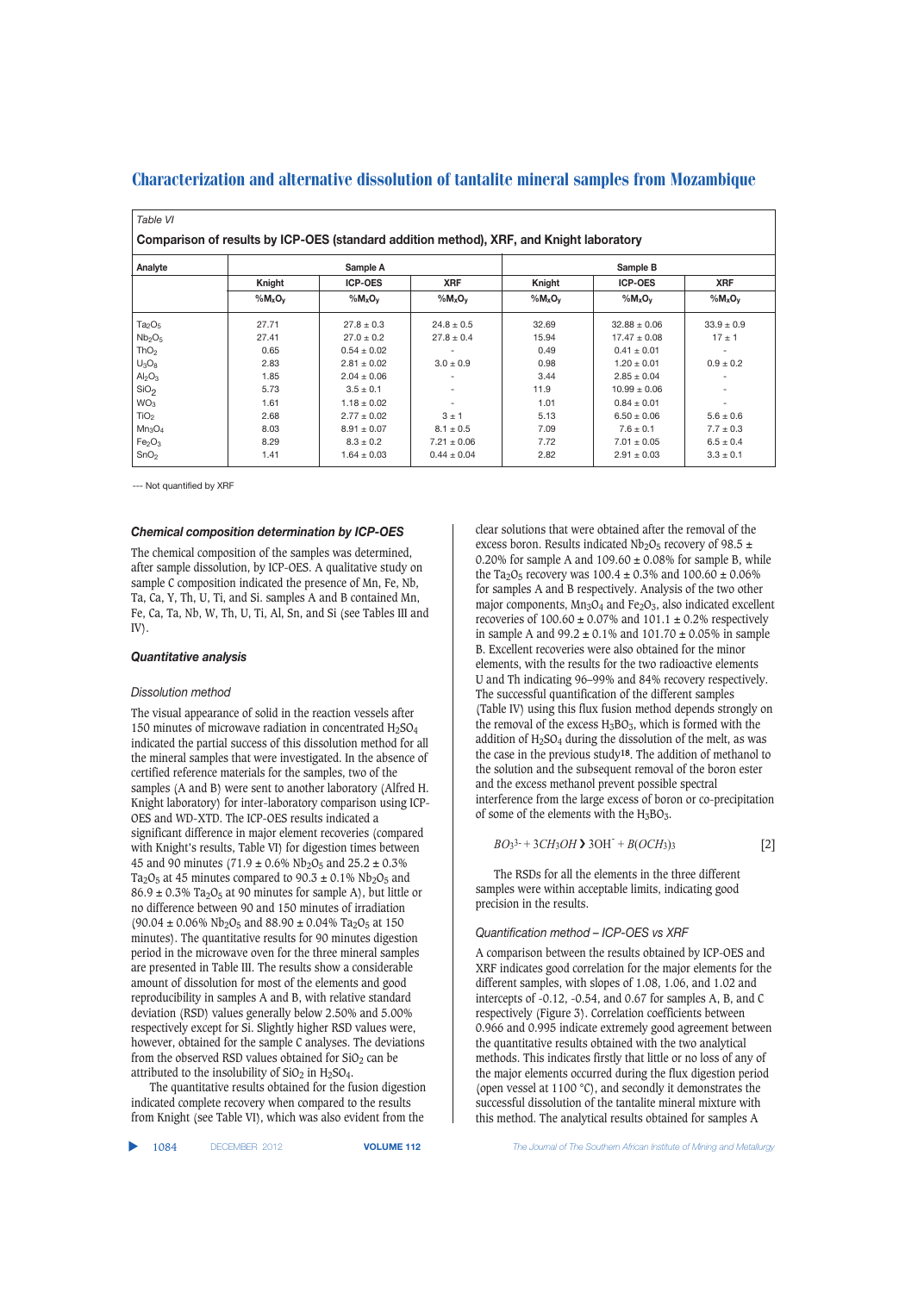| Analyte                        |           | Sample A                    |                          |                      | Sample B                    |                          |  |
|--------------------------------|-----------|-----------------------------|--------------------------|----------------------|-----------------------------|--------------------------|--|
|                                | Knight    | <b>ICP-OES</b><br>$%M_xO_v$ | <b>XRF</b><br>$%M_xO_v$  | Knight<br>% $M_xO_y$ | <b>ICP-OES</b><br>$%M_xO_v$ | <b>XRF</b><br>$%M_xO_v$  |  |
|                                | $%M_xO_v$ |                             |                          |                      |                             |                          |  |
| Ta <sub>2</sub> O <sub>5</sub> | 27.71     | $27.8 \pm 0.3$              | $24.8 \pm 0.5$           | 32.69                | $32.88 \pm 0.06$            | $33.9 \pm 0.9$           |  |
| Nb <sub>2</sub> O <sub>5</sub> | 27.41     | $27.0 \pm 0.2$              | $27.8 \pm 0.4$           | 15.94                | $17.47 \pm 0.08$            | $17 + 1$                 |  |
| ThO <sub>2</sub>               | 0.65      | $0.54 \pm 0.02$             | $\overline{\phantom{a}}$ | 0.49                 | $0.41 \pm 0.01$             | $\overline{\phantom{a}}$ |  |
| $U_3O_8$                       | 2.83      | $2.81 \pm 0.02$             | $3.0 \pm 0.9$            | 0.98                 | $1.20 \pm 0.01$             | $0.9 \pm 0.2$            |  |
| Al <sub>2</sub> O <sub>3</sub> | 1.85      | $2.04 \pm 0.06$             |                          | 3.44                 | $2.85 \pm 0.04$             |                          |  |
| SiO <sub>2</sub>               | 5.73      | $3.5 \pm 0.1$               |                          | 11.9                 | $10.99 \pm 0.06$            | ٠                        |  |
| WO <sub>3</sub>                | 1.61      | $1.18 \pm 0.02$             |                          | 1.01                 | $0.84 \pm 0.01$             |                          |  |
| TiO <sub>2</sub>               | 2.68      | $2.77 \pm 0.02$             | $3 \pm 1$                | 5.13                 | $6.50 \pm 0.06$             | $5.6 \pm 0.6$            |  |
| $Mn_3O_4$                      | 8.03      | $8.91 \pm 0.07$             | $8.1 \pm 0.5$            | 7.09                 | $7.6 \pm 0.1$               | $7.7 \pm 0.3$            |  |
| Fe <sub>2</sub> O <sub>3</sub> | 8.29      | $8.3 \pm 0.2$               | $7.21 \pm 0.06$          | 7.72                 | $7.01 \pm 0.05$             | $6.5 \pm 0.4$            |  |
| SnO <sub>2</sub>               | 1.41      | $1.64 \pm 0.03$             | $0.44 \pm 0.04$          | 2.82                 | $2.91 \pm 0.03$             | $3.3 \pm 0.1$            |  |

--- Not quantified by XRF

## *Chemical composition determination by ICP-OES*

The chemical composition of the samples was determined, after sample dissolution, by ICP-OES. A qualitative study on sample C composition indicated the presence of Mn, Fe, Nb, Ta, Ca, Y, Th, U, Ti, and Si. samples A and B contained Mn, Fe, Ca, Ta, Nb, W, Th, U, Ti, Al, Sn, and Si (see Tables III and IV).

#### *Quantitative analysis*

#### *Dissolution method*

The visual appearance of solid in the reaction vessels after 150 minutes of microwave radiation in concentrated  $H<sub>2</sub>SO<sub>4</sub>$ indicated the partial success of this dissolution method for all the mineral samples that were investigated. In the absence of certified reference materials for the samples, two of the samples (A and B) were sent to another laboratory (Alfred H. Knight laboratory) for inter-laboratory comparison using ICP-OES and WD-XTD. The ICP-OES results indicated a significant difference in major element recoveries (compared with Knight's results, Table VI) for digestion times between 45 and 90 minutes (71.9  $\pm$  0.6% Nb<sub>2</sub>O<sub>5</sub> and 25.2  $\pm$  0.3% Ta<sub>2</sub>O<sub>5</sub> at 45 minutes compared to 90.3  $\pm$  0.1% Nb<sub>2</sub>O<sub>5</sub> and  $86.9 \pm 0.3\%$  Ta<sub>2</sub>O<sub>5</sub> at 90 minutes for sample A), but little or no difference between 90 and 150 minutes of irradiation  $(90.04 \pm 0.06\% \text{ Nb}_2\text{O}_5 \text{ and } 88.90 \pm 0.04\% \text{ Ta}_2\text{O}_5 \text{ at } 150$ minutes). The quantitative results for 90 minutes digestion period in the microwave oven for the three mineral samples are presented in Table III. The results show a considerable amount of dissolution for most of the elements and good reproducibility in samples A and B, with relative standard deviation (RSD) values generally below 2.50% and 5.00% respectively except for Si. Slightly higher RSD values were, however, obtained for the sample C analyses. The deviations from the observed RSD values obtained for  $SiO<sub>2</sub>$  can be attributed to the insolubility of  $SiO<sub>2</sub>$  in H<sub>2</sub>SO<sub>4</sub>.

The quantitative results obtained for the fusion digestion indicated complete recovery when compared to the results from Knight (see Table VI), which was also evident from the

clear solutions that were obtained after the removal of the excess boron. Results indicated  $Nb<sub>2</sub>O<sub>5</sub>$  recovery of 98.5  $\pm$ 0.20% for sample A and  $109.60 \pm 0.08$ % for sample B, while the Ta<sub>2</sub>O<sub>5</sub> recovery was 100.4  $\pm$  0.3% and 100.60  $\pm$  0.06% for samples A and B respectively. Analysis of the two other major components,  $Mn_3O_4$  and  $Fe_2O_3$ , also indicated excellent recoveries of  $100.60 \pm 0.07\%$  and  $101.1 \pm 0.2\%$  respectively in sample A and  $99.2 \pm 0.1\%$  and  $101.70 \pm 0.05\%$  in sample B. Excellent recoveries were also obtained for the minor elements, with the results for the two radioactive elements U and Th indicating 96–99% and 84% recovery respectively. The successful quantification of the different samples (Table IV) using this flux fusion method depends strongly on the removal of the excess  $H_3BO_3$ , which is formed with the addition of H<sub>2</sub>SO<sub>4</sub> during the dissolution of the melt, as was the case in the previous study**18**. The addition of methanol to the solution and the subsequent removal of the boron ester and the excess methanol prevent possible spectral interference from the large excess of boron or co-precipitation of some of the elements with the  $H_3BO_3$ .

$$
BO_3^{3-} + 3CH_3OH^{\bullet} + B(OCH_3)_3
$$
 [2]

The RSDs for all the elements in the three different samples were within acceptable limits, indicating good precision in the results.

#### *Quantification method – ICP-OES vs XRF*

A comparison between the results obtained by ICP-OES and XRF indicates good correlation for the major elements for the different samples, with slopes of 1.08, 1.06, and 1.02 and intercepts of -0.12, -0.54, and 0.67 for samples A, B, and C respectively (Figure 3). Correlation coefficients between 0.966 and 0.995 indicate extremely good agreement between the quantitative results obtained with the two analytical methods. This indicates firstly that little or no loss of any of the major elements occurred during the flux digestion period (open vessel at 1100 °C), and secondly it demonstrates the successful dissolution of the tantalite mineral mixture with this method. The analytical results obtained for samples A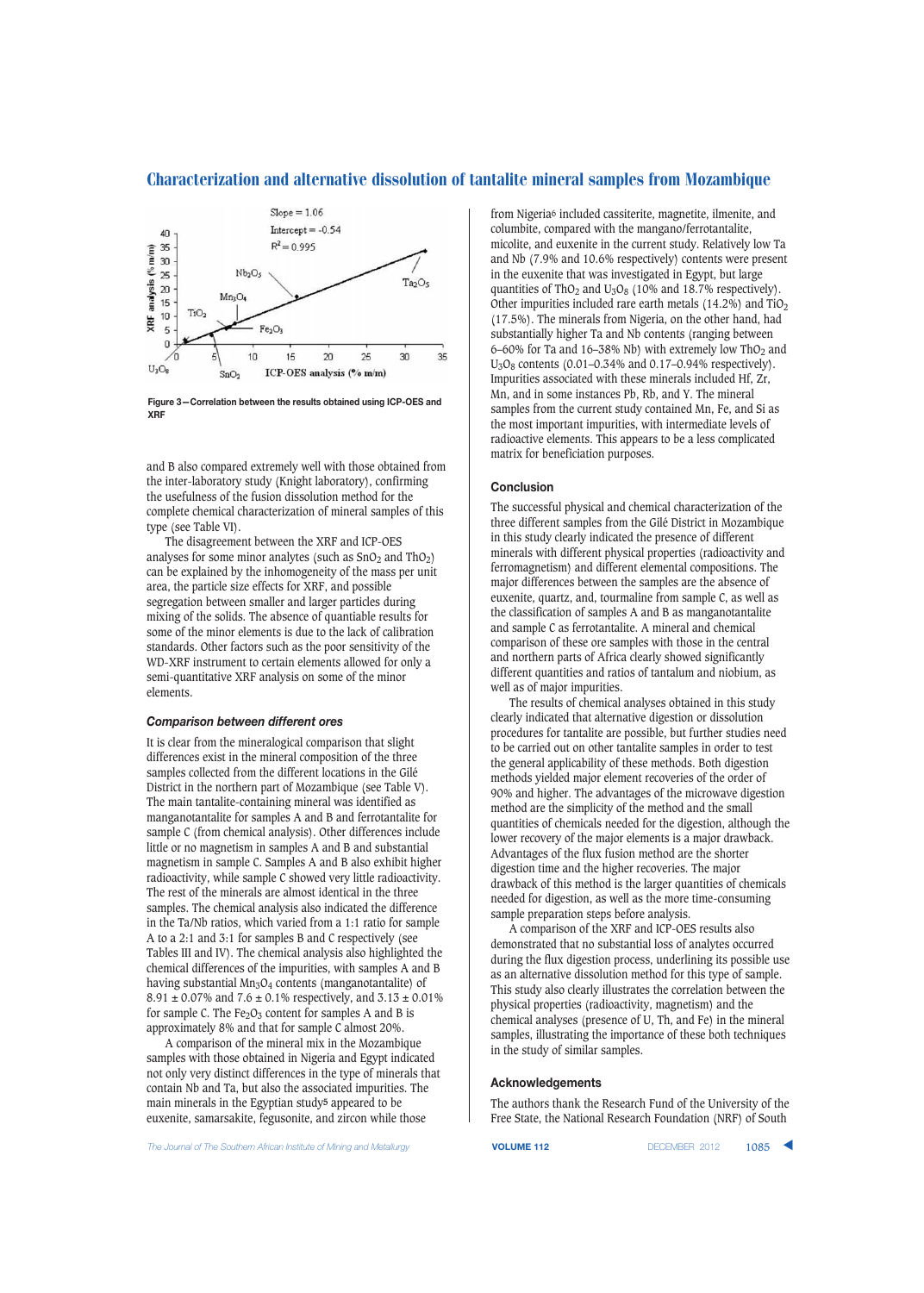

**Figure 3—Correlation between the results obtained using ICP-OES and XRF**

and B also compared extremely well with those obtained from the inter-laboratory study (Knight laboratory), confirming the usefulness of the fusion dissolution method for the complete chemical characterization of mineral samples of this type (see Table VI).

The disagreement between the XRF and ICP-OES analyses for some minor analytes (such as  $SnO<sub>2</sub>$  and ThO<sub>2</sub>) can be explained by the inhomogeneity of the mass per unit area, the particle size effects for XRF, and possible segregation between smaller and larger particles during mixing of the solids. The absence of quantiable results for some of the minor elements is due to the lack of calibration standards. Other factors such as the poor sensitivity of the WD-XRF instrument to certain elements allowed for only a semi-quantitative XRF analysis on some of the minor elements.

## *Comparison between different ores*

It is clear from the mineralogical comparison that slight differences exist in the mineral composition of the three samples collected from the different locations in the Gilé District in the northern part of Mozambique (see Table V). The main tantalite-containing mineral was identified as manganotantalite for samples A and B and ferrotantalite for sample C (from chemical analysis). Other differences include little or no magnetism in samples A and B and substantial magnetism in sample C. Samples A and B also exhibit higher radioactivity, while sample C showed very little radioactivity. The rest of the minerals are almost identical in the three samples. The chemical analysis also indicated the difference in the Ta/Nb ratios, which varied from a 1:1 ratio for sample A to a 2:1 and 3:1 for samples B and C respectively (see Tables III and IV). The chemical analysis also highlighted the chemical differences of the impurities, with samples A and B having substantial  $Mn_3O_4$  contents (manganotantalite) of 8.91  $\pm$  0.07% and 7.6  $\pm$  0.1% respectively, and 3.13  $\pm$  0.01% for sample C. The  $Fe<sub>2</sub>O<sub>3</sub>$  content for samples A and B is approximately 8% and that for sample C almost 20%.

A comparison of the mineral mix in the Mozambique samples with those obtained in Nigeria and Egypt indicated not only very distinct differences in the type of minerals that contain Nb and Ta, but also the associated impurities. The main minerals in the Egyptian study**5** appeared to be euxenite, samarsakite, fegusonite, and zircon while those

from Nigeria6 included cassiterite, magnetite, ilmenite, and columbite, compared with the mangano/ferrotantalite, micolite, and euxenite in the current study. Relatively low Ta and Nb (7.9% and 10.6% respectively) contents were present in the euxenite that was investigated in Egypt, but large quantities of ThO<sub>2</sub> and U<sub>3</sub>O<sub>8</sub> (10% and 18.7% respectively). Other impurities included rare earth metals  $(14.2\%)$  and TiO<sub>2</sub> (17.5%). The minerals from Nigeria, on the other hand, had substantially higher Ta and Nb contents (ranging between 6–60% for Ta and 16–38% Nb) with extremely low ThO<sub>2</sub> and U<sub>3</sub>O<sub>8</sub> contents (0.01-0.34% and 0.17-0.94% respectively). Impurities associated with these minerals included Hf, Zr, Mn, and in some instances Pb, Rb, and Y. The mineral samples from the current study contained Mn, Fe, and Si as the most important impurities, with intermediate levels of radioactive elements. This appears to be a less complicated matrix for beneficiation purposes.

## **Conclusion**

The successful physical and chemical characterization of the three different samples from the Gilé District in Mozambique in this study clearly indicated the presence of different minerals with different physical properties (radioactivity and ferromagnetism) and different elemental compositions. The major differences between the samples are the absence of euxenite, quartz, and, tourmaline from sample C, as well as the classification of samples A and B as manganotantalite and sample C as ferrotantalite. A mineral and chemical comparison of these ore samples with those in the central and northern parts of Africa clearly showed significantly different quantities and ratios of tantalum and niobium, as well as of major impurities.

The results of chemical analyses obtained in this study clearly indicated that alternative digestion or dissolution procedures for tantalite are possible, but further studies need to be carried out on other tantalite samples in order to test the general applicability of these methods. Both digestion methods yielded major element recoveries of the order of 90% and higher. The advantages of the microwave digestion method are the simplicity of the method and the small quantities of chemicals needed for the digestion, although the lower recovery of the major elements is a major drawback. Advantages of the flux fusion method are the shorter digestion time and the higher recoveries. The major drawback of this method is the larger quantities of chemicals needed for digestion, as well as the more time-consuming sample preparation steps before analysis.

A comparison of the XRF and ICP-OES results also demonstrated that no substantial loss of analytes occurred during the flux digestion process, underlining its possible use as an alternative dissolution method for this type of sample. This study also clearly illustrates the correlation between the physical properties (radioactivity, magnetism) and the chemical analyses (presence of U, Th, and Fe) in the mineral samples, illustrating the importance of these both techniques in the study of similar samples.

## **Acknowledgements**

The authors thank the Research Fund of the University of the Free State, the National Research Foundation (NRF) of South

The Journal of The Southern African Institute of Mining and Metallurgy **VOLUME 112 VOLUME 112** DECEMBER 2012 1085